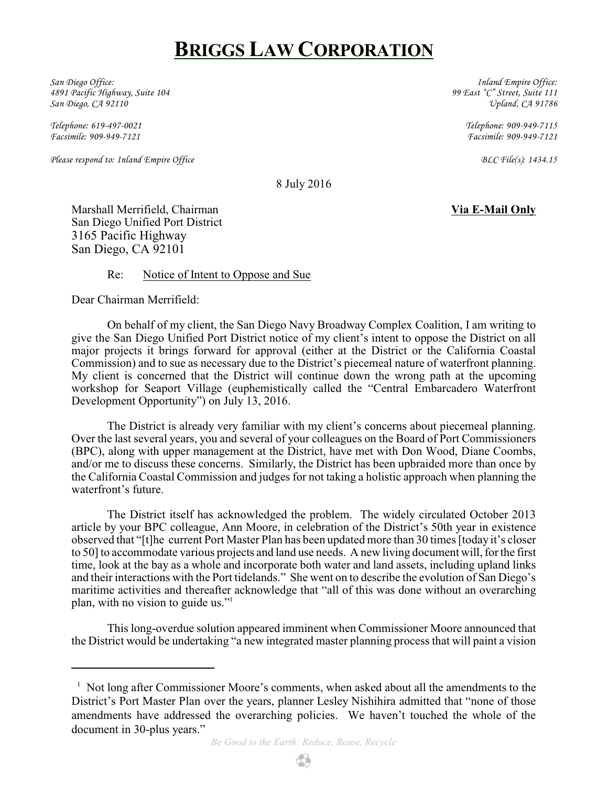## **BRIGGS LAW CORPORATION**

*San Diego Office: 4891 Pacific Highway, Suite 104 San Diego, CA 92110*

*Telephone: 619-497-0021 Facsimile: 909-949-7121*

*Please respond to: Inland Empire Office BLC File(s): 1434.15*

*Inland Empire Office: 99 East "C" Street, Suite 111 Upland, CA 91786*

> *Telephone: 909-949-7115 Facsimile: 909-949-7121*

8 July 2016

Marshall Merrifield, Chairman **Via E-Mail Only** San Diego Unified Port District 3165 Pacific Highway San Diego, CA 92101

Re: Notice of Intent to Oppose and Sue

Dear Chairman Merrifield:

On behalf of my client, the San Diego Navy Broadway Complex Coalition, I am writing to give the San Diego Unified Port District notice of my client's intent to oppose the District on all major projects it brings forward for approval (either at the District or the California Coastal Commission) and to sue as necessary due to the District's piecemeal nature of waterfront planning. My client is concerned that the District will continue down the wrong path at the upcoming workshop for Seaport Village (euphemistically called the "Central Embarcadero Waterfront Development Opportunity") on July 13, 2016.

The District is already very familiar with my client's concerns about piecemeal planning. Over the last several years, you and several of your colleagues on the Board of Port Commissioners (BPC), along with upper management at the District, have met with Don Wood, Diane Coombs, and/or me to discuss these concerns. Similarly, the District has been upbraided more than once by the California Coastal Commission and judges for not taking a holistic approach when planning the waterfront's future.

The District itself has acknowledged the problem. The widely circulated October 2013 article by your BPC colleague, Ann Moore, in celebration of the District's 50th year in existence observed that "[t]he current Port Master Plan has been updated more than 30 times [today it's closer to 50] to accommodate various projects and land use needs. A new living document will, for the first time, look at the bay as a whole and incorporate both water and land assets, including upland links and their interactions with the Port tidelands." She went on to describe the evolution of San Diego's maritime activities and thereafter acknowledge that "all of this was done without an overarching plan, with no vision to guide us."<sup>1</sup>

This long-overdue solution appeared imminent when Commissioner Moore announced that the District would be undertaking "a new integrated master planning process that will paint a vision

 $<sup>1</sup>$  Not long after Commissioner Moore's comments, when asked about all the amendments to the</sup> District's Port Master Plan over the years, planner Lesley Nishihira admitted that "none of those amendments have addressed the overarching policies. We haven't touched the whole of the document in 30-plus years."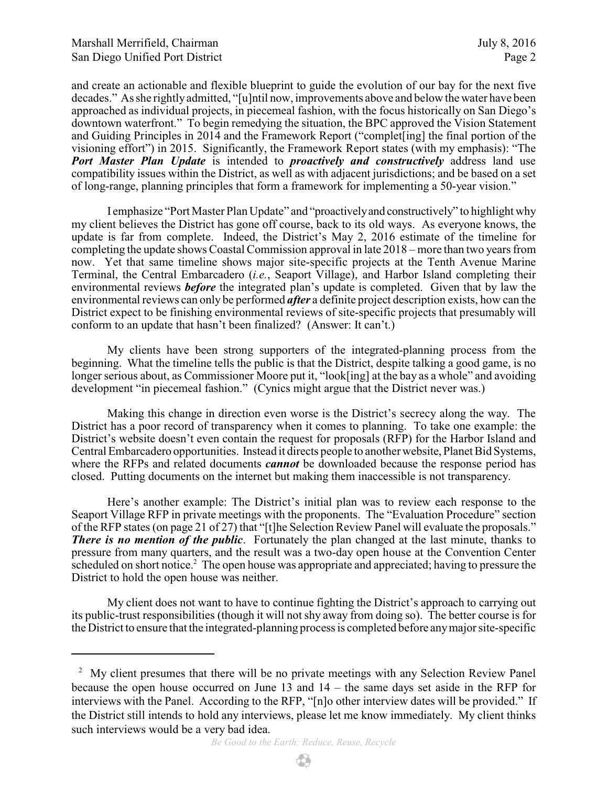and create an actionable and flexible blueprint to guide the evolution of our bay for the next five decades." As she rightlyadmitted, "[u]ntil now, improvements above and below the water have been approached as individual projects, in piecemeal fashion, with the focus historically on San Diego's downtown waterfront." To begin remedying the situation, the BPC approved the Vision Statement and Guiding Principles in 2014 and the Framework Report ("complet[ing] the final portion of the visioning effort") in 2015. Significantly, the Framework Report states (with my emphasis): "The *Port Master Plan Update* is intended to *proactively and constructively* address land use compatibility issues within the District, as well as with adjacent jurisdictions; and be based on a set of long-range, planning principles that form a framework for implementing a 50-year vision."

I emphasize "Port Master Plan Update" and "proactivelyand constructively" to highlight why my client believes the District has gone off course, back to its old ways. As everyone knows, the update is far from complete. Indeed, the District's May 2, 2016 estimate of the timeline for completing the update shows Coastal Commission approval in late 2018 – more than two years from now. Yet that same timeline shows major site-specific projects at the Tenth Avenue Marine Terminal, the Central Embarcadero (*i.e.*, Seaport Village), and Harbor Island completing their environmental reviews *before* the integrated plan's update is completed. Given that by law the environmental reviews can only be performed *after* a definite project description exists, how can the District expect to be finishing environmental reviews of site-specific projects that presumably will conform to an update that hasn't been finalized? (Answer: It can't.)

My clients have been strong supporters of the integrated-planning process from the beginning. What the timeline tells the public is that the District, despite talking a good game, is no longer serious about, as Commissioner Moore put it, "look[ing] at the bay as a whole" and avoiding development "in piecemeal fashion." (Cynics might argue that the District never was.)

Making this change in direction even worse is the District's secrecy along the way. The District has a poor record of transparency when it comes to planning. To take one example: the District's website doesn't even contain the request for proposals (RFP) for the Harbor Island and Central Embarcadero opportunities. Instead it directs people to anotherwebsite, Planet Bid Systems, where the RFPs and related documents *cannot* be downloaded because the response period has closed. Putting documents on the internet but making them inaccessible is not transparency.

Here's another example: The District's initial plan was to review each response to the Seaport Village RFP in private meetings with the proponents. The "Evaluation Procedure" section of the RFP states (on page 21 of 27) that "[t]he Selection Review Panel will evaluate the proposals." *There is no mention of the public*. Fortunately the plan changed at the last minute, thanks to pressure from many quarters, and the result was a two-day open house at the Convention Center scheduled on short notice.<sup>2</sup> The open house was appropriate and appreciated; having to pressure the District to hold the open house was neither.

My client does not want to have to continue fighting the District's approach to carrying out its public-trust responsibilities (though it will not shy away from doing so). The better course is for the District to ensure that the integrated-planning process is completed before anymajor site-specific

<sup>&</sup>lt;sup>2</sup> My client presumes that there will be no private meetings with any Selection Review Panel because the open house occurred on June 13 and 14 – the same days set aside in the RFP for interviews with the Panel. According to the RFP, "[n]o other interview dates will be provided." If the District still intends to hold any interviews, please let me know immediately. My client thinks such interviews would be a very bad idea.